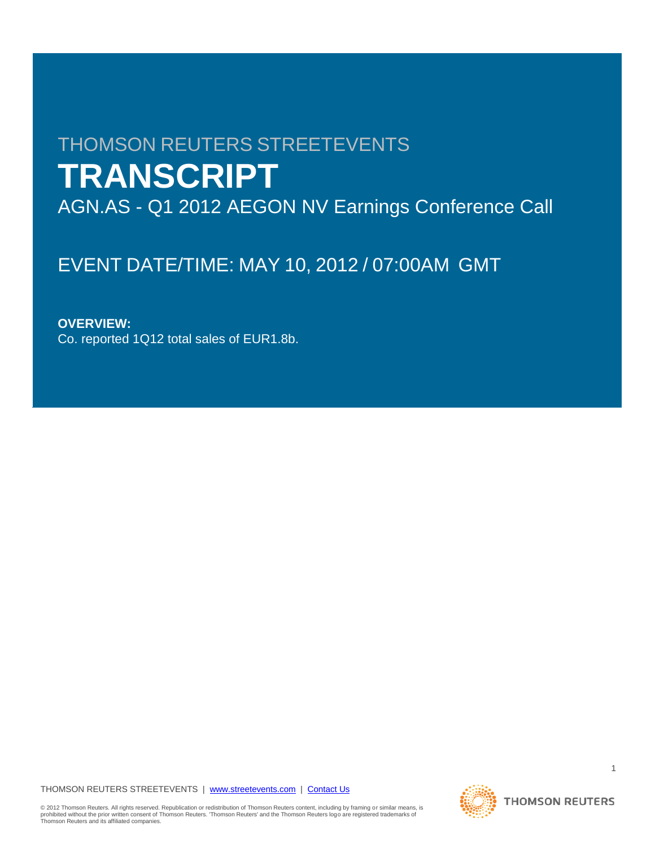# THOMSON REUTERS STREETEVENTS **TRANSCRIPT** AGN.AS - Q1 2012 AEGON NV Earnings Conference Call

# EVENT DATE/TIME: MAY 10, 2012 / 07:00AM GMT

# **OVERVIEW:**

Co. reported 1Q12 total sales of EUR1.8b.

THOMSON REUTERS STREETEVENTS | www.streetevents.com | Contact Us

**THOMSON REUTERS** 

© 2012 Thomson Reuters. All rights reserved. Republication or redistribution of Thomson Reuters content, including by framing or similar means, is<br>prohibited without the prior written consent of Thomson Reuters. 'Thomson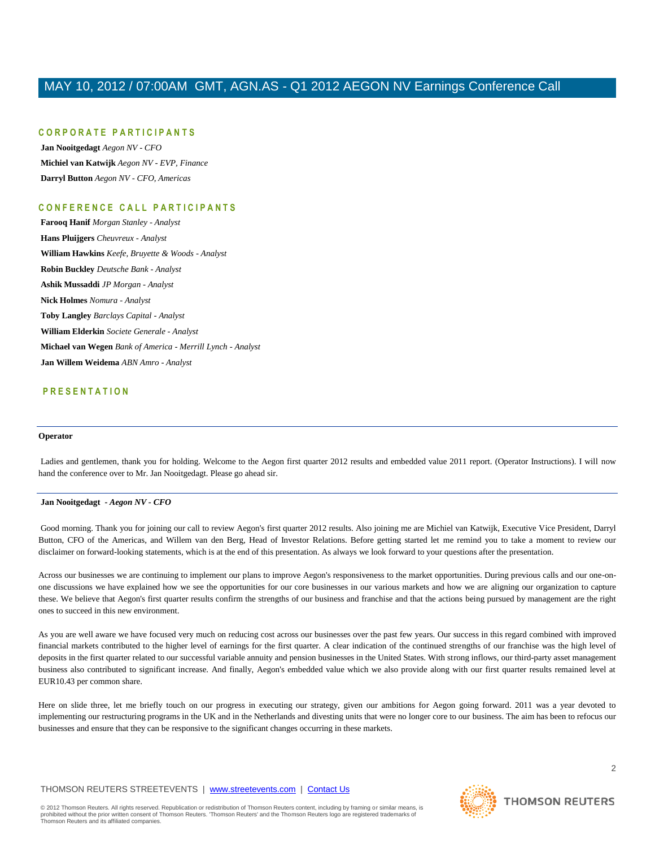### **C O R P O R A T E P A R T I C I P A N T S**

**Jan Nooitgedagt** *Aegon NV - CFO* **Michiel van Katwijk** *Aegon NV - EVP, Finance* **Darryl Button** *Aegon NV - CFO, Americas*

### **C O N F E R E N C E C A L L P A R T I C I P A N T S**

**Farooq Hanif** *Morgan Stanley - Analyst* **Hans Pluijgers** *Cheuvreux - Analyst* **William Hawkins** *Keefe, Bruyette & Woods - Analyst* **Robin Buckley** *Deutsche Bank - Analyst* **Ashik Mussaddi** *JP Morgan - Analyst* **Nick Holmes** *Nomura - Analyst* **Toby Langley** *Barclays Capital - Analyst* **William Elderkin** *Societe Generale - Analyst* **Michael van Wegen** *Bank of America - Merrill Lynch - Analyst* **Jan Willem Weidema** *ABN Amro - Analyst*

### **P R E S E N T A T I O N**

#### **Operator**

Ladies and gentlemen, thank you for holding. Welcome to the Aegon first quarter 2012 results and embedded value 2011 report. (Operator Instructions). I will now hand the conference over to Mr. Jan Nooitgedagt. Please go ahead sir.

#### **Jan Nooitgedagt** *- Aegon NV - CFO*

Good morning. Thank you for joining our call to review Aegon's first quarter 2012 results. Also joining me are Michiel van Katwijk, Executive Vice President, Darryl Button, CFO of the Americas, and Willem van den Berg, Head of Investor Relations. Before getting started let me remind you to take a moment to review our disclaimer on forward-looking statements, which is at the end of this presentation. As always we look forward to your questions after the presentation.

Across our businesses we are continuing to implement our plans to improve Aegon's responsiveness to the market opportunities. During previous calls and our one-onone discussions we have explained how we see the opportunities for our core businesses in our various markets and how we are aligning our organization to capture these. We believe that Aegon's first quarter results confirm the strengths of our business and franchise and that the actions being pursued by management are the right ones to succeed in this new environment.

As you are well aware we have focused very much on reducing cost across our businesses over the past few years. Our success in this regard combined with improved financial markets contributed to the higher level of earnings for the first quarter. A clear indication of the continued strengths of our franchise was the high level of deposits in the first quarter related to our successful variable annuity and pension businesses in the United States. With strong inflows, our third-party asset management business also contributed to significant increase. And finally, Aegon's embedded value which we also provide along with our first quarter results remained level at EUR10.43 per common share.

Here on slide three, let me briefly touch on our progress in executing our strategy, given our ambitions for Aegon going forward. 2011 was a year devoted to implementing our restructuring programs in the UK and in the Netherlands and divesting units that were no longer core to our business. The aim has been to refocus our businesses and ensure that they can be responsive to the significant changes occurring in these markets.

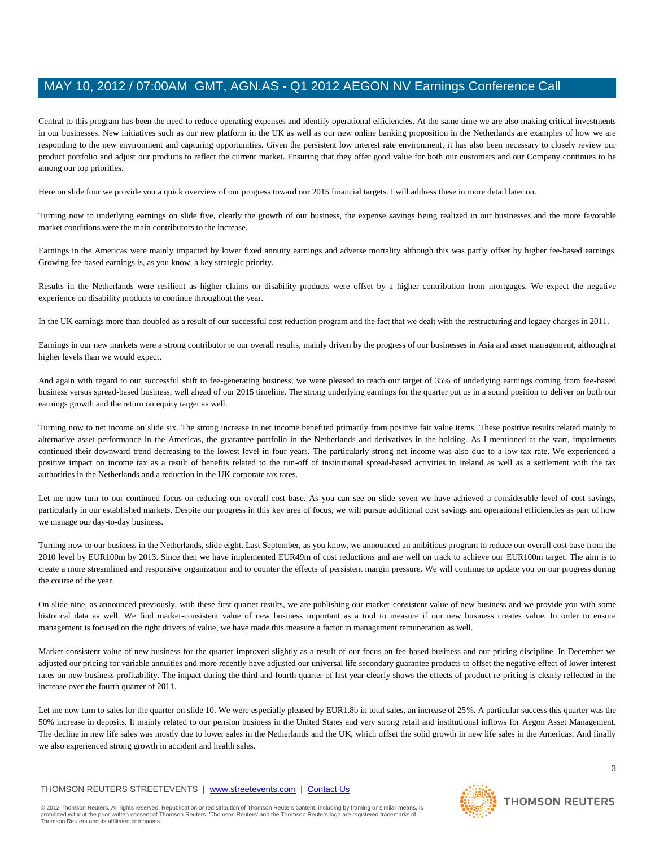Central to this program has been the need to reduce operating expenses and identify operational efficiencies. At the same time we are also making critical investments in our businesses. New initiatives such as our new platform in the UK as well as our new online banking proposition in the Netherlands are examples of how we are responding to the new environment and capturing opportunities. Given the persistent low interest rate environment, it has also been necessary to closely review our product portfolio and adjust our products to reflect the current market. Ensuring that they offer good value for both our customers and our Company continues to be among our top priorities.

Here on slide four we provide you a quick overview of our progress toward our 2015 financial targets. I will address these in more detail later on.

Turning now to underlying earnings on slide five, clearly the growth of our business, the expense savings being realized in our businesses and the more favorable market conditions were the main contributors to the increase.

Earnings in the Americas were mainly impacted by lower fixed annuity earnings and adverse mortality although this was partly offset by higher fee-based earnings. Growing fee-based earnings is, as you know, a key strategic priority.

Results in the Netherlands were resilient as higher claims on disability products were offset by a higher contribution from mortgages. We expect the negative experience on disability products to continue throughout the year.

In the UK earnings more than doubled as a result of our successful cost reduction program and the fact that we dealt with the restructuring and legacy charges in 2011.

Earnings in our new markets were a strong contributor to our overall results, mainly driven by the progress of our businesses in Asia and asset management, although at higher levels than we would expect.

And again with regard to our successful shift to fee-generating business, we were pleased to reach our target of 35% of underlying earnings coming from fee-based business versus spread-based business, well ahead of our 2015 timeline. The strong underlying earnings for the quarter put us in a sound position to deliver on both our earnings growth and the return on equity target as well.

Turning now to net income on slide six. The strong increase in net income benefited primarily from positive fair value items. These positive results related mainly to alternative asset performance in the Americas, the guarantee portfolio in the Netherlands and derivatives in the holding. As I mentioned at the start, impairments continued their downward trend decreasing to the lowest level in four years. The particularly strong net income was also due to a low tax rate. We experienced a positive impact on income tax as a result of benefits related to the run-off of institutional spread-based activities in Ireland as well as a settlement with the tax authorities in the Netherlands and a reduction in the UK corporate tax rates.

Let me now turn to our continued focus on reducing our overall cost base. As you can see on slide seven we have achieved a considerable level of cost savings, particularly in our established markets. Despite our progress in this key area of focus, we will pursue additional cost savings and operational efficiencies as part of how we manage our day-to-day business.

Turning now to our business in the Netherlands, slide eight. Last September, as you know, we announced an ambitious program to reduce our overall cost base from the 2010 level by EUR100m by 2013. Since then we have implemented EUR49m of cost reductions and are well on track to achieve our EUR100m target. The aim is to create a more streamlined and responsive organization and to counter the effects of persistent margin pressure. We will continue to update you on our progress during the course of the year.

On slide nine, as announced previously, with these first quarter results, we are publishing our market-consistent value of new business and we provide you with some historical data as well. We find market-consistent value of new business important as a tool to measure if our new business creates value. In order to ensure management is focused on the right drivers of value, we have made this measure a factor in management remuneration as well.

Market-consistent value of new business for the quarter improved slightly as a result of our focus on fee-based business and our pricing discipline. In December we adjusted our pricing for variable annuities and more recently have adjusted our universal life secondary guarantee products to offset the negative effect of lower interest rates on new business profitability. The impact during the third and fourth quarter of last year clearly shows the effects of product re-pricing is clearly reflected in the increase over the fourth quarter of 2011.

Let me now turn to sales for the quarter on slide 10. We were especially pleased by EUR1.8b in total sales, an increase of 25%. A particular success this quarter was the 50% increase in deposits. It mainly related to our pension business in the United States and very strong retail and institutional inflows for Aegon Asset Management. The decline in new life sales was mostly due to lower sales in the Netherlands and the UK, which offset the solid growth in new life sales in the Americas. And finally we also experienced strong growth in accident and health sales.

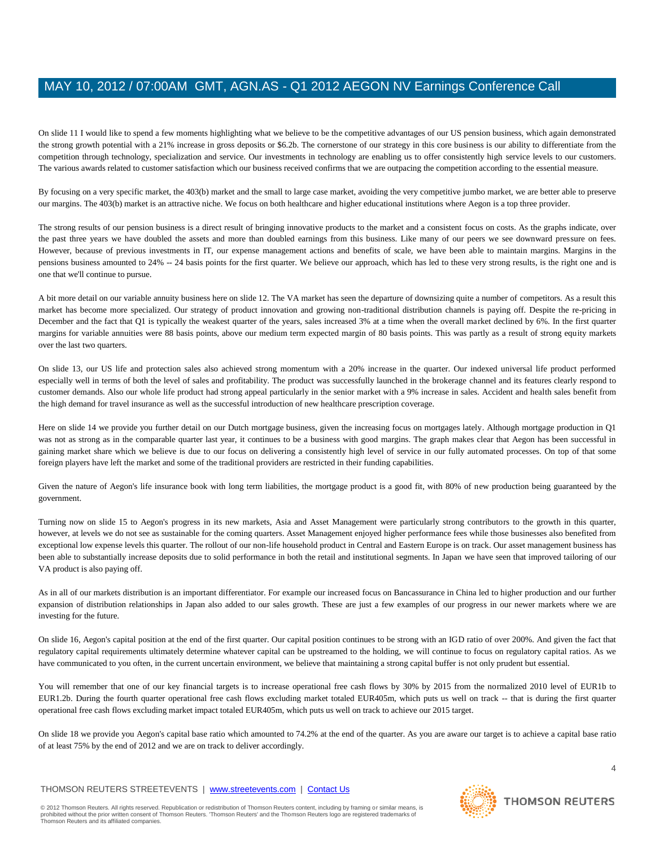On slide 11 I would like to spend a few moments highlighting what we believe to be the competitive advantages of our US pension business, which again demonstrated the strong growth potential with a 21% increase in gross deposits or \$6.2b. The cornerstone of our strategy in this core business is our ability to differentiate from the competition through technology, specialization and service. Our investments in technology are enabling us to offer consistently high service levels to our customers. The various awards related to customer satisfaction which our business received confirms that we are outpacing the competition according to the essential measure.

By focusing on a very specific market, the 403(b) market and the small to large case market, avoiding the very competitive jumbo market, we are better able to preserve our margins. The 403(b) market is an attractive niche. We focus on both healthcare and higher educational institutions where Aegon is a top three provider.

The strong results of our pension business is a direct result of bringing innovative products to the market and a consistent focus on costs. As the graphs indicate, over the past three years we have doubled the assets and more than doubled earnings from this business. Like many of our peers we see downward pressure on fees. However, because of previous investments in IT, our expense management actions and benefits of scale, we have been able to maintain margins. Margins in the pensions business amounted to 24% -- 24 basis points for the first quarter. We believe our approach, which has led to these very strong results, is the right one and is one that we'll continue to pursue.

A bit more detail on our variable annuity business here on slide 12. The VA market has seen the departure of downsizing quite a number of competitors. As a result this market has become more specialized. Our strategy of product innovation and growing non-traditional distribution channels is paying off. Despite the re-pricing in December and the fact that Q1 is typically the weakest quarter of the years, sales increased 3% at a time when the overall market declined by 6%. In the first quarter margins for variable annuities were 88 basis points, above our medium term expected margin of 80 basis points. This was partly as a result of strong equity markets over the last two quarters.

On slide 13, our US life and protection sales also achieved strong momentum with a 20% increase in the quarter. Our indexed universal life product performed especially well in terms of both the level of sales and profitability. The product was successfully launched in the brokerage channel and its features clearly respond to customer demands. Also our whole life product had strong appeal particularly in the senior market with a 9% increase in sales. Accident and health sales benefit from the high demand for travel insurance as well as the successful introduction of new healthcare prescription coverage.

Here on slide 14 we provide you further detail on our Dutch mortgage business, given the increasing focus on mortgages lately. Although mortgage production in Q1 was not as strong as in the comparable quarter last year, it continues to be a business with good margins. The graph makes clear that Aegon has been successful in gaining market share which we believe is due to our focus on delivering a consistently high level of service in our fully automated processes. On top of that some foreign players have left the market and some of the traditional providers are restricted in their funding capabilities.

Given the nature of Aegon's life insurance book with long term liabilities, the mortgage product is a good fit, with 80% of new production being guaranteed by the government.

Turning now on slide 15 to Aegon's progress in its new markets, Asia and Asset Management were particularly strong contributors to the growth in this quarter, however, at levels we do not see as sustainable for the coming quarters. Asset Management enjoyed higher performance fees while those businesses also benefited from exceptional low expense levels this quarter. The rollout of our non-life household product in Central and Eastern Europe is on track. Our asset management business has been able to substantially increase deposits due to solid performance in both the retail and institutional segments. In Japan we have seen that improved tailoring of our VA product is also paying off.

As in all of our markets distribution is an important differentiator. For example our increased focus on Bancassurance in China led to higher production and our further expansion of distribution relationships in Japan also added to our sales growth. These are just a few examples of our progress in our newer markets where we are investing for the future.

On slide 16, Aegon's capital position at the end of the first quarter. Our capital position continues to be strong with an IGD ratio of over 200%. And given the fact that regulatory capital requirements ultimately determine whatever capital can be upstreamed to the holding, we will continue to focus on regulatory capital ratios. As we have communicated to you often, in the current uncertain environment, we believe that maintaining a strong capital buffer is not only prudent but essential.

You will remember that one of our key financial targets is to increase operational free cash flows by 30% by 2015 from the normalized 2010 level of EUR1b to EUR1.2b. During the fourth quarter operational free cash flows excluding market totaled EUR405m, which puts us well on track -- that is during the first quarter operational free cash flows excluding market impact totaled EUR405m, which puts us well on track to achieve our 2015 target.

On slide 18 we provide you Aegon's capital base ratio which amounted to 74.2% at the end of the quarter. As you are aware our target is to achieve a capital base ratio of at least 75% by the end of 2012 and we are on track to deliver accordingly.

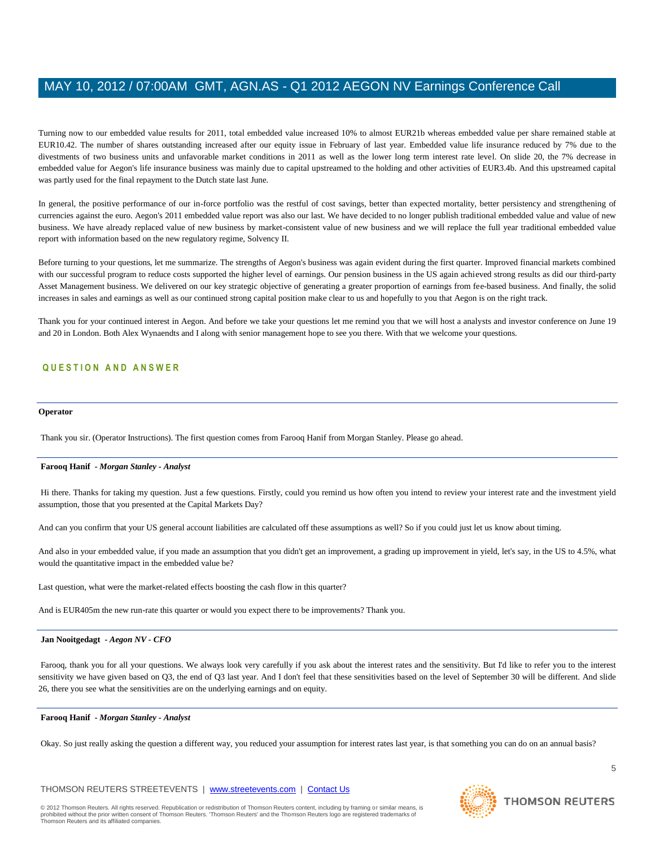Turning now to our embedded value results for 2011, total embedded value increased 10% to almost EUR21b whereas embedded value per share remained stable at EUR10.42. The number of shares outstanding increased after our equity issue in February of last year. Embedded value life insurance reduced by 7% due to the divestments of two business units and unfavorable market conditions in 2011 as well as the lower long term interest rate level. On slide 20, the 7% decrease in embedded value for Aegon's life insurance business was mainly due to capital upstreamed to the holding and other activities of EUR3.4b. And this upstreamed capital was partly used for the final repayment to the Dutch state last June.

In general, the positive performance of our in-force portfolio was the restful of cost savings, better than expected mortality, better persistency and strengthening of currencies against the euro. Aegon's 2011 embedded value report was also our last. We have decided to no longer publish traditional embedded value and value of new business. We have already replaced value of new business by market-consistent value of new business and we will replace the full year traditional embedded value report with information based on the new regulatory regime, Solvency II.

Before turning to your questions, let me summarize. The strengths of Aegon's business was again evident during the first quarter. Improved financial markets combined with our successful program to reduce costs supported the higher level of earnings. Our pension business in the US again achieved strong results as did our third-party Asset Management business. We delivered on our key strategic objective of generating a greater proportion of earnings from fee-based business. And finally, the solid increases in sales and earnings as well as our continued strong capital position make clear to us and hopefully to you that Aegon is on the right track.

Thank you for your continued interest in Aegon. And before we take your questions let me remind you that we will host a analysts and investor conference on June 19 and 20 in London. Both Alex Wynaendts and I along with senior management hope to see you there. With that we welcome your questions.

### **Q U E S T I O N A N D A N S W E R**

#### **Operator**

Thank you sir. (Operator Instructions). The first question comes from Farooq Hanif from Morgan Stanley. Please go ahead.

### **Farooq Hanif** *- Morgan Stanley - Analyst*

Hi there. Thanks for taking my question. Just a few questions. Firstly, could you remind us how often you intend to review your interest rate and the investment yield assumption, those that you presented at the Capital Markets Day?

And can you confirm that your US general account liabilities are calculated off these assumptions as well? So if you could just let us know about timing.

And also in your embedded value, if you made an assumption that you didn't get an improvement, a grading up improvement in yield, let's say, in the US to 4.5%, what would the quantitative impact in the embedded value be?

Last question, what were the market-related effects boosting the cash flow in this quarter?

And is EUR405m the new run-rate this quarter or would you expect there to be improvements? Thank you.

#### **Jan Nooitgedagt** *- Aegon NV - CFO*

Farooq, thank you for all your questions. We always look very carefully if you ask about the interest rates and the sensitivity. But I'd like to refer you to the interest sensitivity we have given based on Q3, the end of Q3 last year. And I don't feel that these sensitivities based on the level of September 30 will be different. And slide 26, there you see what the sensitivities are on the underlying earnings and on equity.

#### **Farooq Hanif** *- Morgan Stanley - Analyst*

Okay. So just really asking the question a different way, you reduced your assumption for interest rates last year, is that something you can do on an annual basis?

### THOMSON REUTERS STREETEVENTS | www.streetevents.com | Contact Us

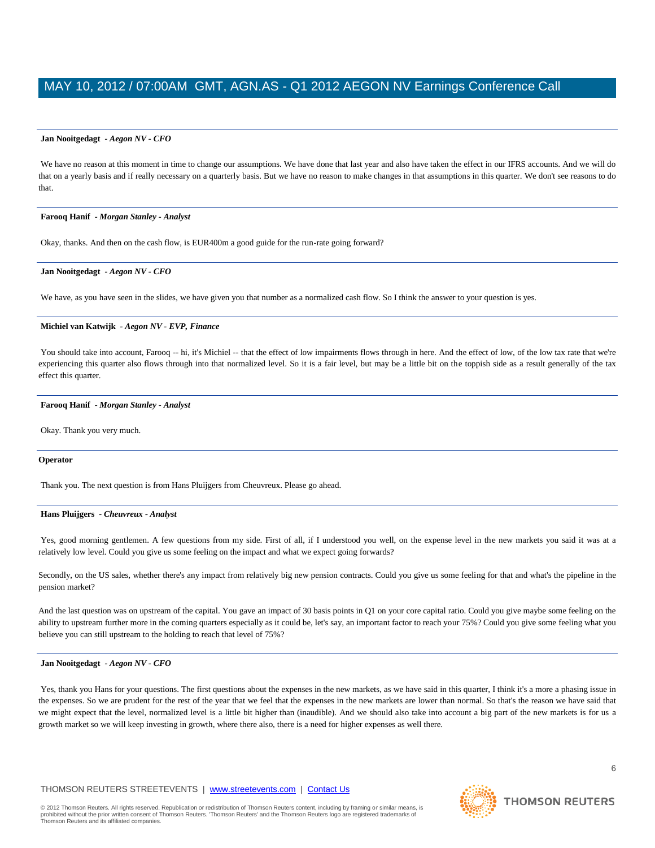#### **Jan Nooitgedagt** *- Aegon NV - CFO*

We have no reason at this moment in time to change our assumptions. We have done that last year and also have taken the effect in our IFRS accounts. And we will do that on a yearly basis and if really necessary on a quarterly basis. But we have no reason to make changes in that assumptions in this quarter. We don't see reasons to do that.

#### **Farooq Hanif** *- Morgan Stanley - Analyst*

Okay, thanks. And then on the cash flow, is EUR400m a good guide for the run-rate going forward?

#### **Jan Nooitgedagt** *- Aegon NV - CFO*

We have, as you have seen in the slides, we have given you that number as a normalized cash flow. So I think the answer to your question is yes.

#### **Michiel van Katwijk** *- Aegon NV - EVP, Finance*

You should take into account, Farooq -- hi, it's Michiel -- that the effect of low impairments flows through in here. And the effect of low, of the low tax rate that we're experiencing this quarter also flows through into that normalized level. So it is a fair level, but may be a little bit on the toppish side as a result generally of the tax effect this quarter.

#### **Farooq Hanif** *- Morgan Stanley - Analyst*

Okay. Thank you very much.

#### **Operator**

Thank you. The next question is from Hans Pluijgers from Cheuvreux. Please go ahead.

#### **Hans Pluijgers** *- Cheuvreux - Analyst*

Yes, good morning gentlemen. A few questions from my side. First of all, if I understood you well, on the expense level in the new markets you said it was at a relatively low level. Could you give us some feeling on the impact and what we expect going forwards?

Secondly, on the US sales, whether there's any impact from relatively big new pension contracts. Could you give us some feeling for that and what's the pipeline in the pension market?

And the last question was on upstream of the capital. You gave an impact of 30 basis points in Q1 on your core capital ratio. Could you give maybe some feeling on the ability to upstream further more in the coming quarters especially as it could be, let's say, an important factor to reach your 75%? Could you give some feeling what you believe you can still upstream to the holding to reach that level of 75%?

#### **Jan Nooitgedagt** *- Aegon NV - CFO*

Yes, thank you Hans for your questions. The first questions about the expenses in the new markets, as we have said in this quarter, I think it's a more a phasing issue in the expenses. So we are prudent for the rest of the year that we feel that the expenses in the new markets are lower than normal. So that's the reason we have said that we might expect that the level, normalized level is a little bit higher than (inaudible). And we should also take into account a big part of the new markets is for us a growth market so we will keep investing in growth, where there also, there is a need for higher expenses as well there.

### THOMSON REUTERS STREETEVENTS | www.streetevents.com | Contact Us

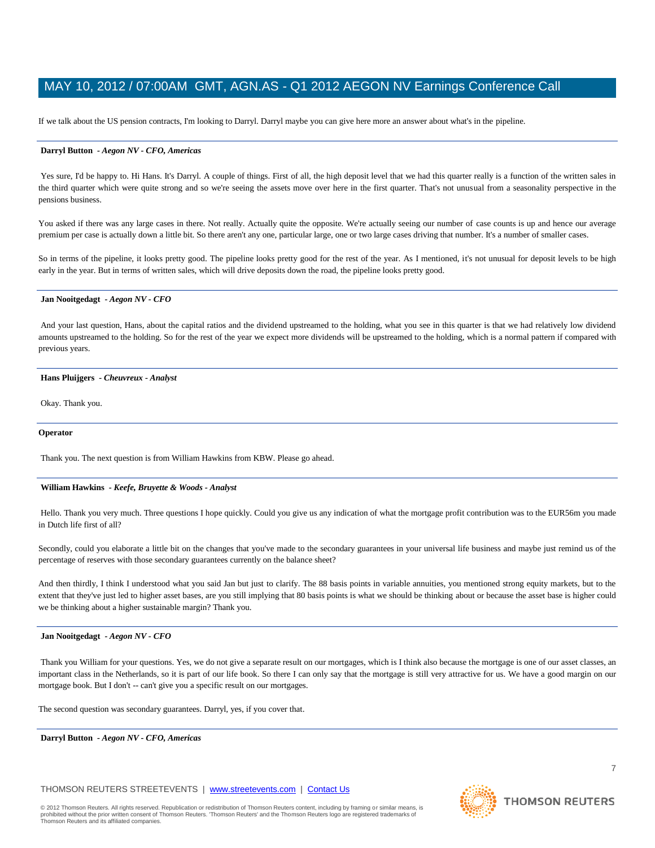If we talk about the US pension contracts, I'm looking to Darryl. Darryl maybe you can give here more an answer about what's in the pipeline.

#### **Darryl Button** *- Aegon NV - CFO, Americas*

Yes sure, I'd be happy to. Hi Hans. It's Darryl. A couple of things. First of all, the high deposit level that we had this quarter really is a function of the written sales in the third quarter which were quite strong and so we're seeing the assets move over here in the first quarter. That's not unusual from a seasonality perspective in the pensions business.

You asked if there was any large cases in there. Not really. Actually quite the opposite. We're actually seeing our number of case counts is up and hence our average premium per case is actually down a little bit. So there aren't any one, particular large, one or two large cases driving that number. It's a number of smaller cases.

So in terms of the pipeline, it looks pretty good. The pipeline looks pretty good for the rest of the year. As I mentioned, it's not unusual for deposit levels to be high early in the year. But in terms of written sales, which will drive deposits down the road, the pipeline looks pretty good.

#### **Jan Nooitgedagt** *- Aegon NV - CFO*

And your last question, Hans, about the capital ratios and the dividend upstreamed to the holding, what you see in this quarter is that we had relatively low dividend amounts upstreamed to the holding. So for the rest of the year we expect more dividends will be upstreamed to the holding, which is a normal pattern if compared with previous years.

#### **Hans Pluijgers** *- Cheuvreux - Analyst*

Okay. Thank you.

#### **Operator**

Thank you. The next question is from William Hawkins from KBW. Please go ahead.

#### **William Hawkins** *- Keefe, Bruyette & Woods - Analyst*

Hello. Thank you very much. Three questions I hope quickly. Could you give us any indication of what the mortgage profit contribution was to the EUR56m you made in Dutch life first of all?

Secondly, could you elaborate a little bit on the changes that you've made to the secondary guarantees in your universal life business and maybe just remind us of the percentage of reserves with those secondary guarantees currently on the balance sheet?

And then thirdly, I think I understood what you said Jan but just to clarify. The 88 basis points in variable annuities, you mentioned strong equity markets, but to the extent that they've just led to higher asset bases, are you still implying that 80 basis points is what we should be thinking about or because the asset base is higher could we be thinking about a higher sustainable margin? Thank you.

#### **Jan Nooitgedagt** *- Aegon NV - CFO*

Thank you William for your questions. Yes, we do not give a separate result on our mortgages, which is I think also because the mortgage is one of our asset classes, an important class in the Netherlands, so it is part of our life book. So there I can only say that the mortgage is still very attractive for us. We have a good margin on our mortgage book. But I don't -- can't give you a specific result on our mortgages.

The second question was secondary guarantees. Darryl, yes, if you cover that.

**Darryl Button** *- Aegon NV - CFO, Americas* 

THOMSON REUTERS STREETEVENTS | www.streetevents.com | Contact Us

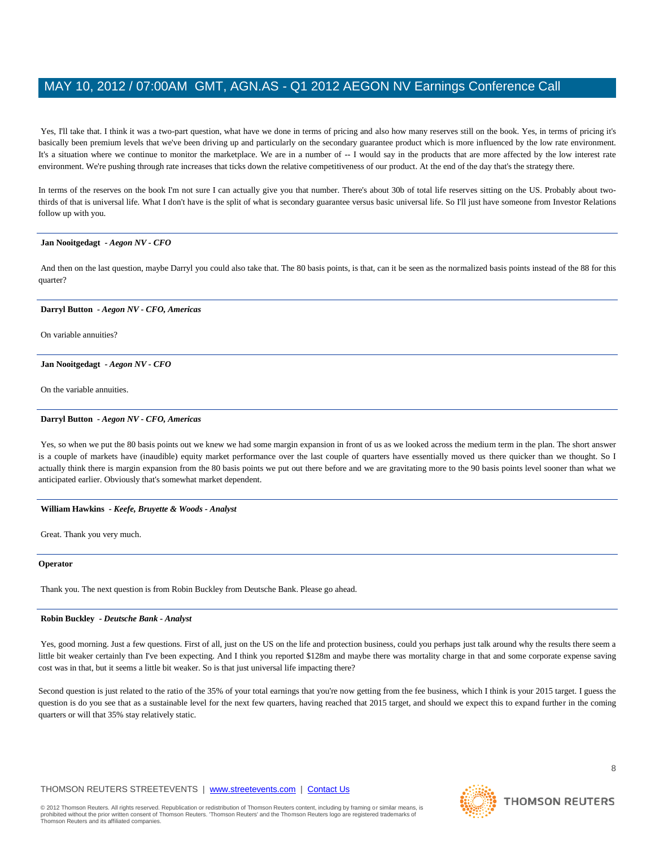Yes, I'll take that. I think it was a two-part question, what have we done in terms of pricing and also how many reserves still on the book. Yes, in terms of pricing it's basically been premium levels that we've been driving up and particularly on the secondary guarantee product which is more influenced by the low rate environment. It's a situation where we continue to monitor the marketplace. We are in a number of -- I would say in the products that are more affected by the low interest rate environment. We're pushing through rate increases that ticks down the relative competitiveness of our product. At the end of the day that's the strategy there.

In terms of the reserves on the book I'm not sure I can actually give you that number. There's about 30b of total life reserves sitting on the US. Probably about twothirds of that is universal life. What I don't have is the split of what is secondary guarantee versus basic universal life. So I'll just have someone from Investor Relations follow up with you.

#### **Jan Nooitgedagt** *- Aegon NV - CFO*

And then on the last question, maybe Darryl you could also take that. The 80 basis points, is that, can it be seen as the normalized basis points instead of the 88 for this quarter?

### **Darryl Button** *- Aegon NV - CFO, Americas*

On variable annuities?

#### **Jan Nooitgedagt** *- Aegon NV - CFO*

On the variable annuities.

#### **Darryl Button** *- Aegon NV - CFO, Americas*

Yes, so when we put the 80 basis points out we knew we had some margin expansion in front of us as we looked across the medium term in the plan. The short answer is a couple of markets have (inaudible) equity market performance over the last couple of quarters have essentially moved us there quicker than we thought. So I actually think there is margin expansion from the 80 basis points we put out there before and we are gravitating more to the 90 basis points level sooner than what we anticipated earlier. Obviously that's somewhat market dependent.

#### **William Hawkins** *- Keefe, Bruyette & Woods - Analyst*

Great. Thank you very much.

#### **Operator**

Thank you. The next question is from Robin Buckley from Deutsche Bank. Please go ahead.

#### **Robin Buckley** *- Deutsche Bank - Analyst*

Yes, good morning. Just a few questions. First of all, just on the US on the life and protection business, could you perhaps just talk around why the results there seem a little bit weaker certainly than I've been expecting. And I think you reported \$128m and maybe there was mortality charge in that and some corporate expense saving cost was in that, but it seems a little bit weaker. So is that just universal life impacting there?

Second question is just related to the ratio of the 35% of your total earnings that you're now getting from the fee business, which I think is your 2015 target. I guess the question is do you see that as a sustainable level for the next few quarters, having reached that 2015 target, and should we expect this to expand further in the coming quarters or will that 35% stay relatively static.

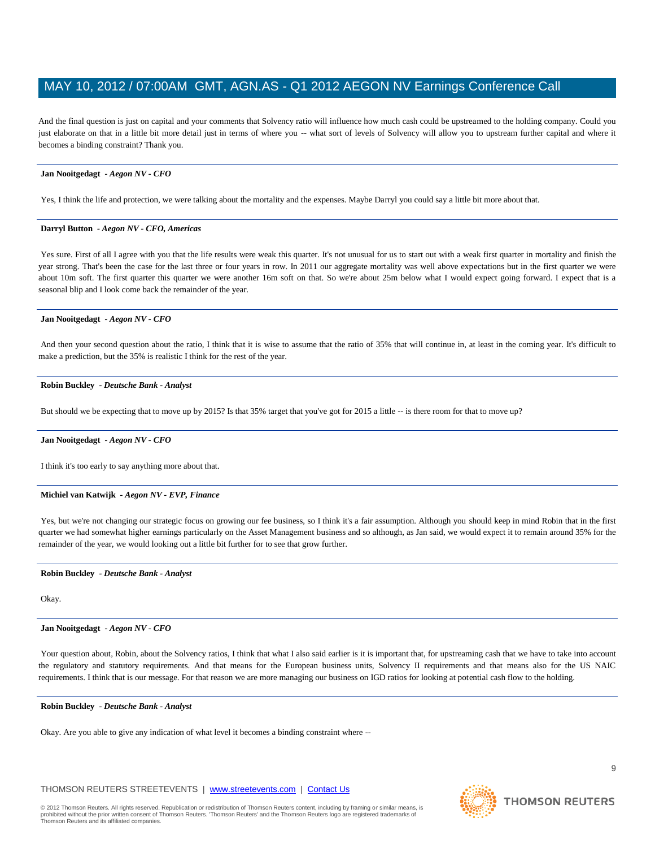And the final question is just on capital and your comments that Solvency ratio will influence how much cash could be upstreamed to the holding company. Could you just elaborate on that in a little bit more detail just in terms of where you -- what sort of levels of Solvency will allow you to upstream further capital and where it becomes a binding constraint? Thank you.

#### **Jan Nooitgedagt** *- Aegon NV - CFO*

Yes, I think the life and protection, we were talking about the mortality and the expenses. Maybe Darryl you could say a little bit more about that.

#### **Darryl Button** *- Aegon NV - CFO, Americas*

Yes sure. First of all I agree with you that the life results were weak this quarter. It's not unusual for us to start out with a weak first quarter in mortality and finish the year strong. That's been the case for the last three or four years in row. In 2011 our aggregate mortality was well above expectations but in the first quarter we were about 10m soft. The first quarter this quarter we were another 16m soft on that. So we're about 25m below what I would expect going forward. I expect that is a seasonal blip and I look come back the remainder of the year.

#### **Jan Nooitgedagt** *- Aegon NV - CFO*

And then your second question about the ratio, I think that it is wise to assume that the ratio of 35% that will continue in, at least in the coming year. It's difficult to make a prediction, but the 35% is realistic I think for the rest of the year.

#### **Robin Buckley** *- Deutsche Bank - Analyst*

But should we be expecting that to move up by 2015? Is that 35% target that you've got for 2015 a little -- is there room for that to move up?

#### **Jan Nooitgedagt** *- Aegon NV - CFO*

I think it's too early to say anything more about that.

#### **Michiel van Katwijk** *- Aegon NV - EVP, Finance*

Yes, but we're not changing our strategic focus on growing our fee business, so I think it's a fair assumption. Although you should keep in mind Robin that in the first quarter we had somewhat higher earnings particularly on the Asset Management business and so although, as Jan said, we would expect it to remain around 35% for the remainder of the year, we would looking out a little bit further for to see that grow further.

### **Robin Buckley** *- Deutsche Bank - Analyst*

Okay.

#### **Jan Nooitgedagt** *- Aegon NV - CFO*

Your question about, Robin, about the Solvency ratios, I think that what I also said earlier is it is important that, for upstreaming cash that we have to take into account the regulatory and statutory requirements. And that means for the European business units, Solvency II requirements and that means also for the US NAIC requirements. I think that is our message. For that reason we are more managing our business on IGD ratios for looking at potential cash flow to the holding.

#### **Robin Buckley** *- Deutsche Bank - Analyst*

Okay. Are you able to give any indication of what level it becomes a binding constraint where --

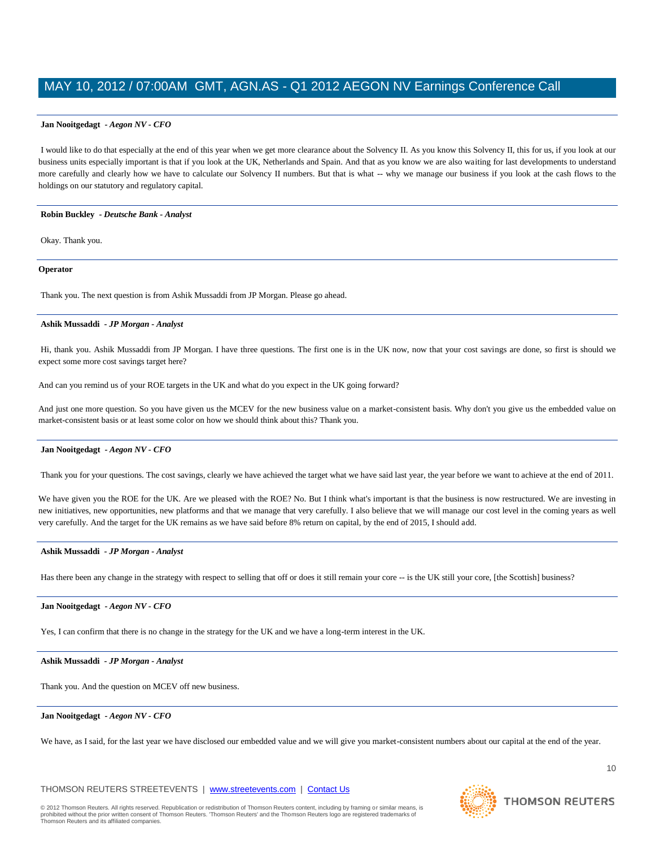#### **Jan Nooitgedagt** *- Aegon NV - CFO*

I would like to do that especially at the end of this year when we get more clearance about the Solvency II. As you know this Solvency II, this for us, if you look at our business units especially important is that if you look at the UK, Netherlands and Spain. And that as you know we are also waiting for last developments to understand more carefully and clearly how we have to calculate our Solvency II numbers. But that is what -- why we manage our business if you look at the cash flows to the holdings on our statutory and regulatory capital.

#### **Robin Buckley** *- Deutsche Bank - Analyst*

Okay. Thank you.

#### **Operator**

Thank you. The next question is from Ashik Mussaddi from JP Morgan. Please go ahead.

#### **Ashik Mussaddi** *- JP Morgan - Analyst*

Hi, thank you. Ashik Mussaddi from JP Morgan. I have three questions. The first one is in the UK now, now that your cost savings are done, so first is should we expect some more cost savings target here?

And can you remind us of your ROE targets in the UK and what do you expect in the UK going forward?

And just one more question. So you have given us the MCEV for the new business value on a market-consistent basis. Why don't you give us the embedded value on market-consistent basis or at least some color on how we should think about this? Thank you.

#### **Jan Nooitgedagt** *- Aegon NV - CFO*

Thank you for your questions. The cost savings, clearly we have achieved the target what we have said last year, the year before we want to achieve at the end of 2011.

We have given you the ROE for the UK. Are we pleased with the ROE? No. But I think what's important is that the business is now restructured. We are investing in new initiatives, new opportunities, new platforms and that we manage that very carefully. I also believe that we will manage our cost level in the coming years as well very carefully. And the target for the UK remains as we have said before 8% return on capital, by the end of 2015, I should add.

#### **Ashik Mussaddi** *- JP Morgan - Analyst*

Has there been any change in the strategy with respect to selling that off or does it still remain your core -- is the UK still your core, [the Scottish] business?

#### **Jan Nooitgedagt** *- Aegon NV - CFO*

Yes, I can confirm that there is no change in the strategy for the UK and we have a long-term interest in the UK.

#### **Ashik Mussaddi** *- JP Morgan - Analyst*

Thank you. And the question on MCEV off new business.

#### **Jan Nooitgedagt** *- Aegon NV - CFO*

We have, as I said, for the last year we have disclosed our embedded value and we will give you market-consistent numbers about our capital at the end of the year.

#### THOMSON REUTERS STREETEVENTS | www.streetevents.com | Contact Us

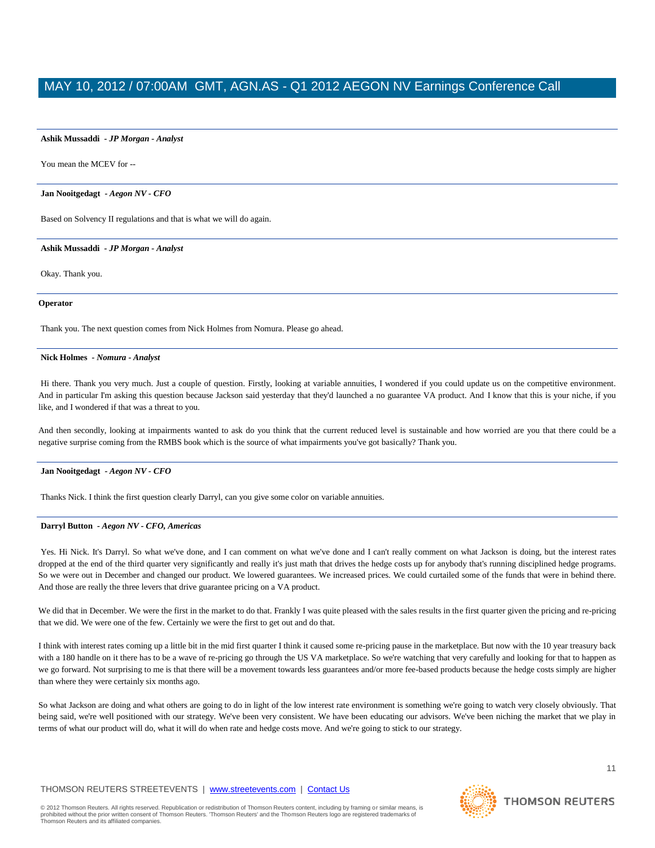#### **Ashik Mussaddi** *- JP Morgan - Analyst*

You mean the MCEV for --

#### **Jan Nooitgedagt** *- Aegon NV - CFO*

Based on Solvency II regulations and that is what we will do again.

**Ashik Mussaddi** *- JP Morgan - Analyst* 

Okay. Thank you.

#### **Operator**

Thank you. The next question comes from Nick Holmes from Nomura. Please go ahead.

#### **Nick Holmes** *- Nomura - Analyst*

Hi there. Thank you very much. Just a couple of question. Firstly, looking at variable annuities, I wondered if you could update us on the competitive environment. And in particular I'm asking this question because Jackson said yesterday that they'd launched a no guarantee VA product. And I know that this is your niche, if you like, and I wondered if that was a threat to you.

And then secondly, looking at impairments wanted to ask do you think that the current reduced level is sustainable and how worried are you that there could be a negative surprise coming from the RMBS book which is the source of what impairments you've got basically? Thank you.

#### **Jan Nooitgedagt** *- Aegon NV - CFO*

Thanks Nick. I think the first question clearly Darryl, can you give some color on variable annuities.

#### **Darryl Button** *- Aegon NV - CFO, Americas*

Yes. Hi Nick. It's Darryl. So what we've done, and I can comment on what we've done and I can't really comment on what Jackson is doing, but the interest rates dropped at the end of the third quarter very significantly and really it's just math that drives the hedge costs up for anybody that's running disciplined hedge programs. So we were out in December and changed our product. We lowered guarantees. We increased prices. We could curtailed some of the funds that were in behind there. And those are really the three levers that drive guarantee pricing on a VA product.

We did that in December. We were the first in the market to do that. Frankly I was quite pleased with the sales results in the first quarter given the pricing and re-pricing that we did. We were one of the few. Certainly we were the first to get out and do that.

I think with interest rates coming up a little bit in the mid first quarter I think it caused some re-pricing pause in the marketplace. But now with the 10 year treasury back with a 180 handle on it there has to be a wave of re-pricing go through the US VA marketplace. So we're watching that very carefully and looking for that to happen as we go forward. Not surprising to me is that there will be a movement towards less guarantees and/or more fee-based products because the hedge costs simply are higher than where they were certainly six months ago.

So what Jackson are doing and what others are going to do in light of the low interest rate environment is something we're going to watch very closely obviously. That being said, we're well positioned with our strategy. We've been very consistent. We have been educating our advisors. We've been niching the market that we play in terms of what our product will do, what it will do when rate and hedge costs move. And we're going to stick to our strategy.

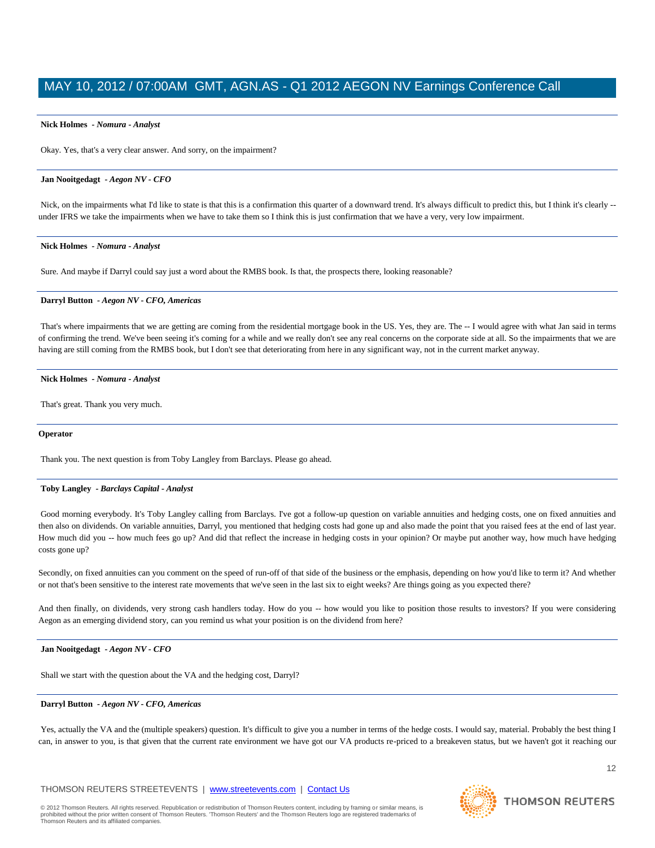#### **Nick Holmes** *- Nomura - Analyst*

Okay. Yes, that's a very clear answer. And sorry, on the impairment?

#### **Jan Nooitgedagt** *- Aegon NV - CFO*

Nick, on the impairments what I'd like to state is that this is a confirmation this quarter of a downward trend. It's always difficult to predict this, but I think it's clearly -under IFRS we take the impairments when we have to take them so I think this is just confirmation that we have a very, very low impairment.

#### **Nick Holmes** *- Nomura - Analyst*

Sure. And maybe if Darryl could say just a word about the RMBS book. Is that, the prospects there, looking reasonable?

#### **Darryl Button** *- Aegon NV - CFO, Americas*

That's where impairments that we are getting are coming from the residential mortgage book in the US. Yes, they are. The -- I would agree with what Jan said in terms of confirming the trend. We've been seeing it's coming for a while and we really don't see any real concerns on the corporate side at all. So the impairments that we are having are still coming from the RMBS book, but I don't see that deteriorating from here in any significant way, not in the current market anyway.

#### **Nick Holmes** *- Nomura - Analyst*

That's great. Thank you very much.

#### **Operator**

Thank you. The next question is from Toby Langley from Barclays. Please go ahead.

#### **Toby Langley** *- Barclays Capital - Analyst*

Good morning everybody. It's Toby Langley calling from Barclays. I've got a follow-up question on variable annuities and hedging costs, one on fixed annuities and then also on dividends. On variable annuities, Darryl, you mentioned that hedging costs had gone up and also made the point that you raised fees at the end of last year. How much did you -- how much fees go up? And did that reflect the increase in hedging costs in your opinion? Or maybe put another way, how much have hedging costs gone up?

Secondly, on fixed annuities can you comment on the speed of run-off of that side of the business or the emphasis, depending on how you'd like to term it? And whether or not that's been sensitive to the interest rate movements that we've seen in the last six to eight weeks? Are things going as you expected there?

And then finally, on dividends, very strong cash handlers today. How do you -- how would you like to position those results to investors? If you were considering Aegon as an emerging dividend story, can you remind us what your position is on the dividend from here?

#### **Jan Nooitgedagt** *- Aegon NV - CFO*

Shall we start with the question about the VA and the hedging cost, Darryl?

#### **Darryl Button** *- Aegon NV - CFO, Americas*

Yes, actually the VA and the (multiple speakers) question. It's difficult to give you a number in terms of the hedge costs. I would say, material. Probably the best thing I can, in answer to you, is that given that the current rate environment we have got our VA products re-priced to a breakeven status, but we haven't got it reaching our

#### THOMSON REUTERS STREETEVENTS | www.streetevents.com | Contact Us

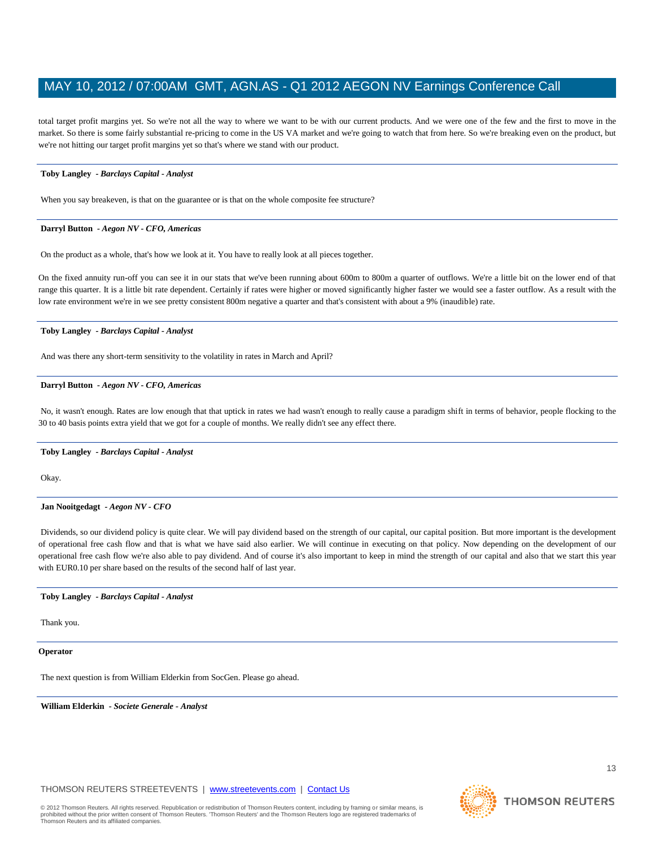total target profit margins yet. So we're not all the way to where we want to be with our current products. And we were one of the few and the first to move in the market. So there is some fairly substantial re-pricing to come in the US VA market and we're going to watch that from here. So we're breaking even on the product, but we're not hitting our target profit margins yet so that's where we stand with our product.

#### **Toby Langley** *- Barclays Capital - Analyst*

When you say breakeven, is that on the guarantee or is that on the whole composite fee structure?

#### **Darryl Button** *- Aegon NV - CFO, Americas*

On the product as a whole, that's how we look at it. You have to really look at all pieces together.

On the fixed annuity run-off you can see it in our stats that we've been running about 600m to 800m a quarter of outflows. We're a little bit on the lower end of that range this quarter. It is a little bit rate dependent. Certainly if rates were higher or moved significantly higher faster we would see a faster outflow. As a result with the low rate environment we're in we see pretty consistent 800m negative a quarter and that's consistent with about a 9% (inaudible) rate.

#### **Toby Langley** *- Barclays Capital - Analyst*

And was there any short-term sensitivity to the volatility in rates in March and April?

#### **Darryl Button** *- Aegon NV - CFO, Americas*

No, it wasn't enough. Rates are low enough that that uptick in rates we had wasn't enough to really cause a paradigm shift in terms of behavior, people flocking to the 30 to 40 basis points extra yield that we got for a couple of months. We really didn't see any effect there.

### **Toby Langley** *- Barclays Capital - Analyst*

Okay.

### **Jan Nooitgedagt** *- Aegon NV - CFO*

Dividends, so our dividend policy is quite clear. We will pay dividend based on the strength of our capital, our capital position. But more important is the development of operational free cash flow and that is what we have said also earlier. We will continue in executing on that policy. Now depending on the development of our operational free cash flow we're also able to pay dividend. And of course it's also important to keep in mind the strength of our capital and also that we start this year with EUR0.10 per share based on the results of the second half of last year.

### **Toby Langley** *- Barclays Capital - Analyst*

Thank you.

#### **Operator**

The next question is from William Elderkin from SocGen. Please go ahead.

**William Elderkin** *- Societe Generale - Analyst* 

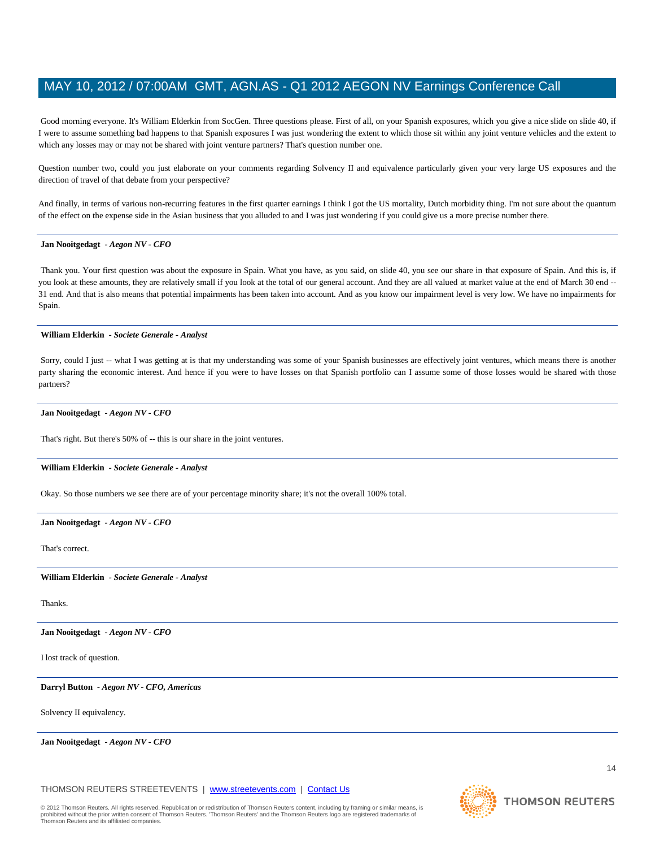Good morning everyone. It's William Elderkin from SocGen. Three questions please. First of all, on your Spanish exposures, which you give a nice slide on slide 40, if I were to assume something bad happens to that Spanish exposures I was just wondering the extent to which those sit within any joint venture vehicles and the extent to which any losses may or may not be shared with joint venture partners? That's question number one.

Question number two, could you just elaborate on your comments regarding Solvency II and equivalence particularly given your very large US exposures and the direction of travel of that debate from your perspective?

And finally, in terms of various non-recurring features in the first quarter earnings I think I got the US mortality, Dutch morbidity thing. I'm not sure about the quantum of the effect on the expense side in the Asian business that you alluded to and I was just wondering if you could give us a more precise number there.

#### **Jan Nooitgedagt** *- Aegon NV - CFO*

Thank you. Your first question was about the exposure in Spain. What you have, as you said, on slide 40, you see our share in that exposure of Spain. And this is, if you look at these amounts, they are relatively small if you look at the total of our general account. And they are all valued at market value at the end of March 30 end --31 end. And that is also means that potential impairments has been taken into account. And as you know our impairment level is very low. We have no impairments for Spain.

#### **William Elderkin** *- Societe Generale - Analyst*

Sorry, could I just -- what I was getting at is that my understanding was some of your Spanish businesses are effectively joint ventures, which means there is another party sharing the economic interest. And hence if you were to have losses on that Spanish portfolio can I assume some of those losses would be shared with those partners?

#### **Jan Nooitgedagt** *- Aegon NV - CFO*

That's right. But there's 50% of -- this is our share in the joint ventures.

#### **William Elderkin** *- Societe Generale - Analyst*

Okay. So those numbers we see there are of your percentage minority share; it's not the overall 100% total.

#### **Jan Nooitgedagt** *- Aegon NV - CFO*

That's correct.

**William Elderkin** *- Societe Generale - Analyst* 

Thanks.

**Jan Nooitgedagt** *- Aegon NV - CFO* 

I lost track of question.

**Darryl Button** *- Aegon NV - CFO, Americas* 

Solvency II equivalency.

**Jan Nooitgedagt** *- Aegon NV - CFO* 

THOMSON REUTERS STREETEVENTS | www.streetevents.com | Contact Us

14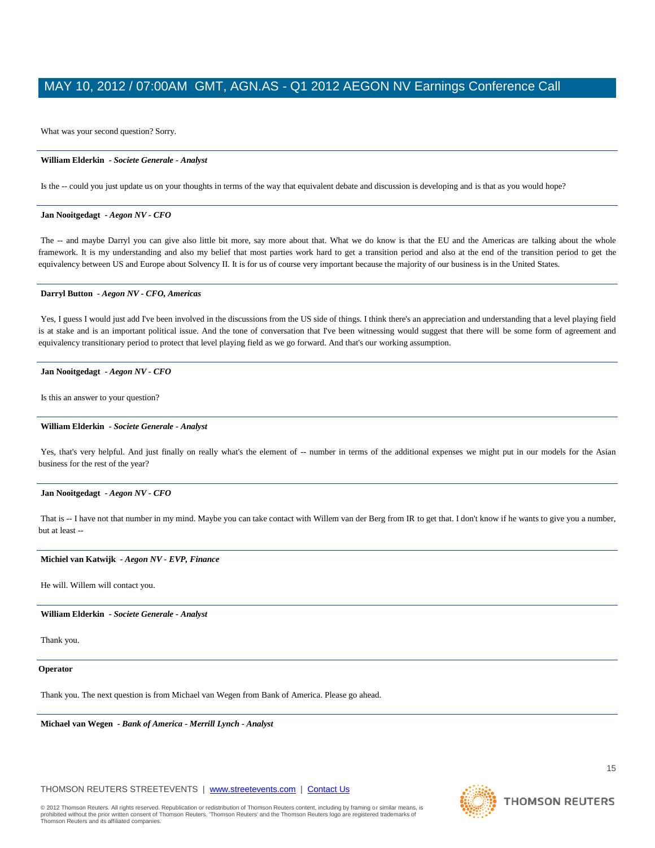What was your second question? Sorry.

#### **William Elderkin** *- Societe Generale - Analyst*

Is the -- could you just update us on your thoughts in terms of the way that equivalent debate and discussion is developing and is that as you would hope?

#### **Jan Nooitgedagt** *- Aegon NV - CFO*

The -- and maybe Darryl you can give also little bit more, say more about that. What we do know is that the EU and the Americas are talking about the whole framework. It is my understanding and also my belief that most parties work hard to get a transition period and also at the end of the transition period to get the equivalency between US and Europe about Solvency II. It is for us of course very important because the majority of our business is in the United States.

#### **Darryl Button** *- Aegon NV - CFO, Americas*

Yes, I guess I would just add I've been involved in the discussions from the US side of things. I think there's an appreciation and understanding that a level playing field is at stake and is an important political issue. And the tone of conversation that I've been witnessing would suggest that there will be some form of agreement and equivalency transitionary period to protect that level playing field as we go forward. And that's our working assumption.

#### **Jan Nooitgedagt** *- Aegon NV - CFO*

Is this an answer to your question?

#### **William Elderkin** *- Societe Generale - Analyst*

Yes, that's very helpful. And just finally on really what's the element of -- number in terms of the additional expenses we might put in our models for the Asian business for the rest of the year?

#### **Jan Nooitgedagt** *- Aegon NV - CFO*

That is -- I have not that number in my mind. Maybe you can take contact with Willem van der Berg from IR to get that. I don't know if he wants to give you a number, but at least --

#### **Michiel van Katwijk** *- Aegon NV - EVP, Finance*

He will. Willem will contact you.

**William Elderkin** *- Societe Generale - Analyst* 

Thank you.

### **Operator**

Thank you. The next question is from Michael van Wegen from Bank of America. Please go ahead.

**Michael van Wegen** *- Bank of America - Merrill Lynch - Analyst* 

**THOMSON REUTERS** 

© 2012 Thomson Reuters. All rights reserved. Republication or redistribution of Thomson Reuters content, including by framing or similar means, is prohibited without the prior written consent of Thomson Reuters. 'Thomson Reuters' and the Thomson Reuters logo are registered trademarks of Thomson Reuters and its affiliated companies.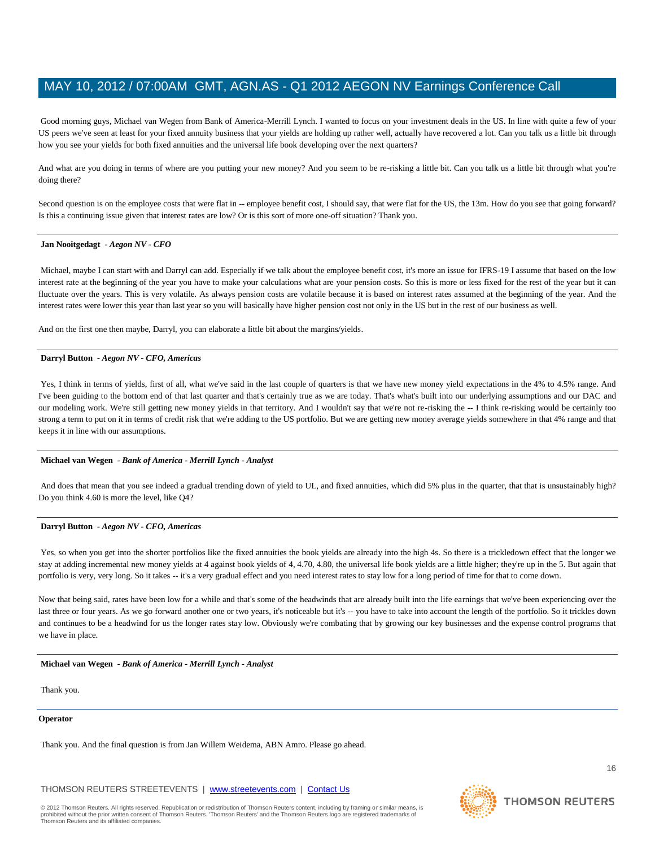Good morning guys, Michael van Wegen from Bank of America-Merrill Lynch. I wanted to focus on your investment deals in the US. In line with quite a few of your US peers we've seen at least for your fixed annuity business that your yields are holding up rather well, actually have recovered a lot. Can you talk us a little bit through how you see your yields for both fixed annuities and the universal life book developing over the next quarters?

And what are you doing in terms of where are you putting your new money? And you seem to be re-risking a little bit. Can you talk us a little bit through what you're doing there?

Second question is on the employee costs that were flat in -- employee benefit cost, I should say, that were flat for the US, the 13m. How do you see that going forward? Is this a continuing issue given that interest rates are low? Or is this sort of more one-off situation? Thank you.

#### **Jan Nooitgedagt** *- Aegon NV - CFO*

Michael, maybe I can start with and Darryl can add. Especially if we talk about the employee benefit cost, it's more an issue for IFRS-19 I assume that based on the low interest rate at the beginning of the year you have to make your calculations what are your pension costs. So this is more or less fixed for the rest of the year but it can fluctuate over the years. This is very volatile. As always pension costs are volatile because it is based on interest rates assumed at the beginning of the year. And the interest rates were lower this year than last year so you will basically have higher pension cost not only in the US but in the rest of our business as well.

And on the first one then maybe, Darryl, you can elaborate a little bit about the margins/yields.

#### **Darryl Button** *- Aegon NV - CFO, Americas*

Yes, I think in terms of yields, first of all, what we've said in the last couple of quarters is that we have new money yield expectations in the 4% to 4.5% range. And I've been guiding to the bottom end of that last quarter and that's certainly true as we are today. That's what's built into our underlying assumptions and our DAC and our modeling work. We're still getting new money yields in that territory. And I wouldn't say that we're not re-risking the -- I think re-risking would be certainly too strong a term to put on it in terms of credit risk that we're adding to the US portfolio. But we are getting new money average yields somewhere in that 4% range and that keeps it in line with our assumptions.

### **Michael van Wegen** *- Bank of America - Merrill Lynch - Analyst*

And does that mean that you see indeed a gradual trending down of yield to UL, and fixed annuities, which did 5% plus in the quarter, that that is unsustainably high? Do you think 4.60 is more the level, like Q4?

#### **Darryl Button** *- Aegon NV - CFO, Americas*

Yes, so when you get into the shorter portfolios like the fixed annuities the book yields are already into the high 4s. So there is a trickledown effect that the longer we stay at adding incremental new money yields at 4 against book yields of 4, 4.70, 4.80, the universal life book yields are a little higher; they're up in the 5. But again that portfolio is very, very long. So it takes -- it's a very gradual effect and you need interest rates to stay low for a long period of time for that to come down.

Now that being said, rates have been low for a while and that's some of the headwinds that are already built into the life earnings that we've been experiencing over the last three or four years. As we go forward another one or two years, it's noticeable but it's -- you have to take into account the length of the portfolio. So it trickles down and continues to be a headwind for us the longer rates stay low. Obviously we're combating that by growing our key businesses and the expense control programs that we have in place.

#### **Michael van Wegen** *- Bank of America - Merrill Lynch - Analyst*

Thank you.

#### **Operator**

Thank you. And the final question is from Jan Willem Weidema, ABN Amro. Please go ahead.

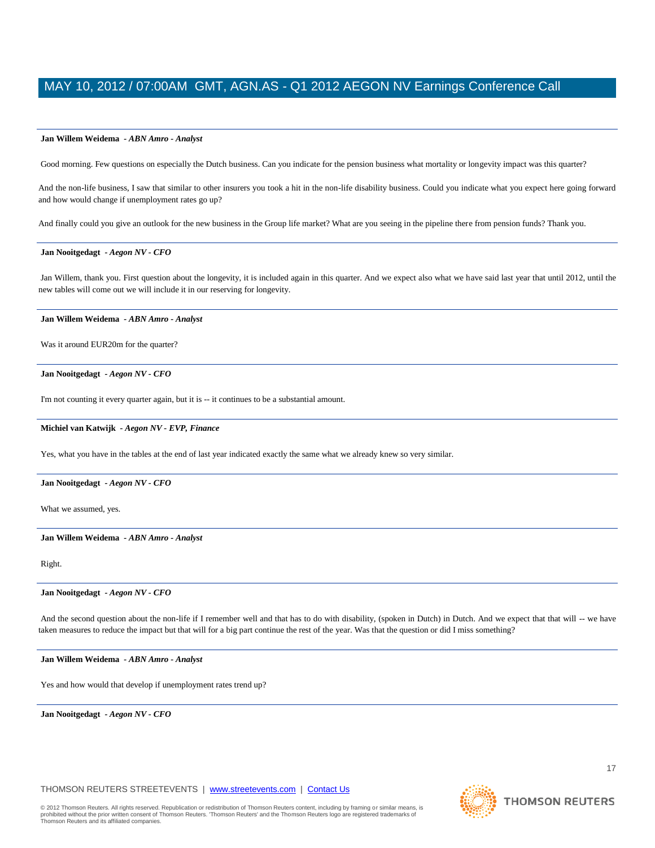#### **Jan Willem Weidema** *- ABN Amro - Analyst*

Good morning. Few questions on especially the Dutch business. Can you indicate for the pension business what mortality or longevity impact was this quarter?

And the non-life business, I saw that similar to other insurers you took a hit in the non-life disability business. Could you indicate what you expect here going forward and how would change if unemployment rates go up?

And finally could you give an outlook for the new business in the Group life market? What are you seeing in the pipeline there from pension funds? Thank you.

### **Jan Nooitgedagt** *- Aegon NV - CFO*

Jan Willem, thank you. First question about the longevity, it is included again in this quarter. And we expect also what we have said last year that until 2012, until the new tables will come out we will include it in our reserving for longevity.

#### **Jan Willem Weidema** *- ABN Amro - Analyst*

Was it around EUR20m for the quarter?

#### **Jan Nooitgedagt** *- Aegon NV - CFO*

I'm not counting it every quarter again, but it is -- it continues to be a substantial amount.

#### **Michiel van Katwijk** *- Aegon NV - EVP, Finance*

Yes, what you have in the tables at the end of last year indicated exactly the same what we already knew so very similar.

#### **Jan Nooitgedagt** *- Aegon NV - CFO*

What we assumed, yes.

#### **Jan Willem Weidema** *- ABN Amro - Analyst*

Right.

#### **Jan Nooitgedagt** *- Aegon NV - CFO*

And the second question about the non-life if I remember well and that has to do with disability, (spoken in Dutch) in Dutch. And we expect that that will -- we have taken measures to reduce the impact but that will for a big part continue the rest of the year. Was that the question or did I miss something?

#### **Jan Willem Weidema** *- ABN Amro - Analyst*

Yes and how would that develop if unemployment rates trend up?

**Jan Nooitgedagt** *- Aegon NV - CFO* 

### THOMSON REUTERS STREETEVENTS | www.streetevents.com | Contact Us